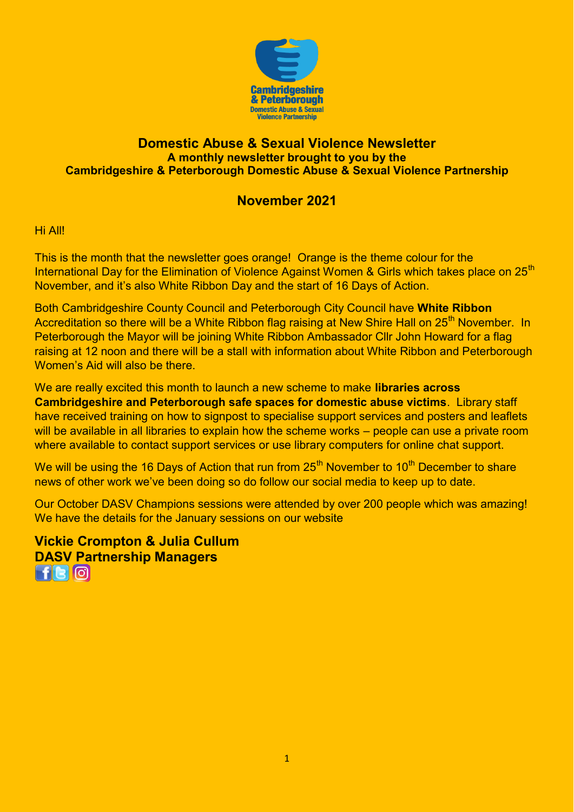

### **Domestic Abuse & Sexual Violence Newsletter A monthly newsletter brought to you by the Cambridgeshire & Peterborough Domestic Abuse & Sexual Violence Partnership**

## **November 2021**

Hi All!

This is the month that the newsletter goes orange! Orange is the theme colour for the International Day for the Elimination of Violence Against Women & Girls which takes place on 25<sup>th</sup> November, and it's also White Ribbon Day and the start of 16 Days of Action.

Both Cambridgeshire County Council and Peterborough City Council have **White Ribbon** Accreditation so there will be a White Ribbon flag raising at New Shire Hall on 25<sup>th</sup> November. In Peterborough the Mayor will be joining White Ribbon Ambassador Cllr John Howard for a flag raising at 12 noon and there will be a stall with information about White Ribbon and Peterborough Women's Aid will also be there.

We are really excited this month to launch a new scheme to make **libraries across Cambridgeshire and Peterborough safe spaces for domestic abuse victims**. Library staff have received training on how to signpost to specialise support services and posters and leaflets will be available in all libraries to explain how the scheme works – people can use a private room where available to contact support services or use library computers for online chat support.

We will be using the 16 Days of Action that run from  $25<sup>th</sup>$  November to 10<sup>th</sup> December to share news of other work we've been doing so do follow our social media to keep up to date.

Our October DASV Champions sessions were attended by over 200 people which was amazing! We have the details for the January sessions on our website

**Vickie Crompton & Julia Cullum [DA](https://www.facebook.com/CambridgeshireDASV/)[SV](https://twitter.com/Cambs_DASV) [Pa](https://www.instagram.com/cambsdasv/)rtnership Managers**   $F$  $\Box$  $\Box$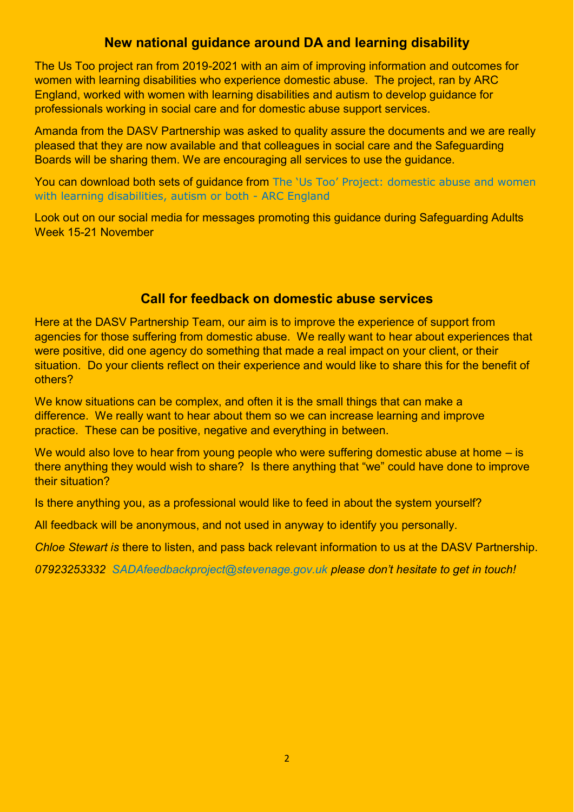# **New national guidance around DA and learning disability**

The Us Too project ran from 2019-2021 with an aim of improving information and outcomes for women with learning disabilities who experience domestic abuse. The project, ran by ARC England, worked with women with learning disabilities and autism to develop guidance for professionals working in social care and for domestic abuse support services.

Amanda from the DASV Partnership was asked to quality assure the documents and we are really pleased that they are now available and that colleagues in social care and the Safeguarding Boards will be sharing them. We are encouraging all services to use the guidance.

You can download both sets of guidance from The 'Us Too' [Project: domestic abuse and women](https://arcengland.org.uk/project-resources/the-us-too-project/)  [with learning disabilities, autism or both - ARC England](https://arcengland.org.uk/project-resources/the-us-too-project/) 

Look out on our social media for messages promoting this guidance during Safeguarding Adults Week 15-21 November

## **Call for feedback on domestic abuse services**

Here at the DASV Partnership Team, our aim is to improve the experience of support from agencies for those suffering from domestic abuse. We really want to hear about experiences that were positive, did one agency do something that made a real impact on your client, or their situation. Do your clients reflect on their experience and would like to share this for the benefit of others?

We know situations can be complex, and often it is the small things that can make a difference. We really want to hear about them so we can increase learning and improve practice. These can be positive, negative and everything in between.

We would also love to hear from young people who were suffering domestic abuse at home  $-$  is there anything they would wish to share? Is there anything that "we" could have done to improve their situation?

Is there anything you, as a professional would like to feed in about the system yourself?

All feedback will be anonymous, and not used in anyway to identify you personally.

*Chloe Stewart is* there to listen, and pass back relevant information to us at the DASV Partnership.

*07923253332 [SADAfeedbackproject@stevenage.gov.uk](mailto:SADAfeedbackproject@stevenage.gov.uk) please don't hesitate to get in touch!*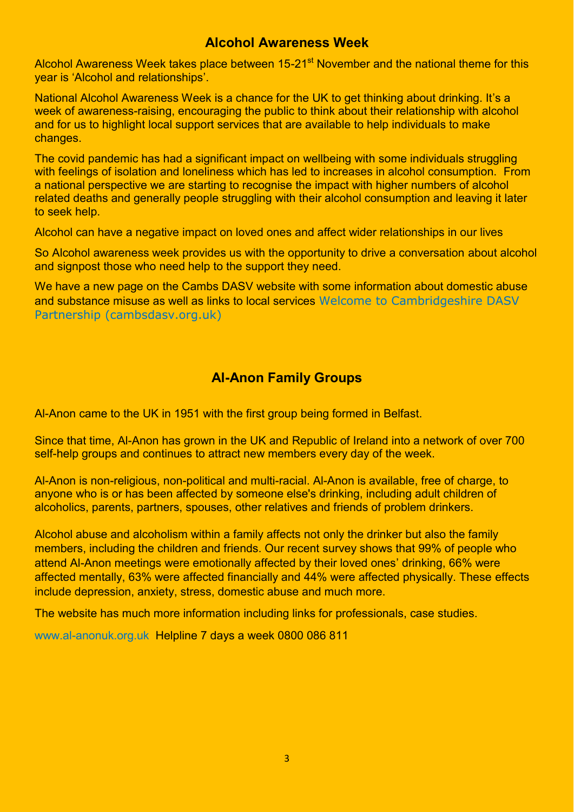### **Alcohol Awareness Week**

Alcohol Awareness Week takes place between 15-21<sup>st</sup> November and the national theme for this year is 'Alcohol and relationships'.

National Alcohol Awareness Week is a chance for the UK to get thinking about drinking. It's a week of awareness-raising, encouraging the public to think about their relationship with alcohol and for us to highlight local support services that are available to help individuals to make changes.

The covid pandemic has had a significant impact on wellbeing with some individuals struggling with feelings of isolation and loneliness which has led to increases in alcohol consumption. From a national perspective we are starting to recognise the impact with higher numbers of alcohol related deaths and generally people struggling with their alcohol consumption and leaving it later to seek help.

Alcohol can have a negative impact on loved ones and affect wider relationships in our lives

So Alcohol awareness week provides us with the opportunity to drive a conversation about alcohol and signpost those who need help to the support they need.

We have a new page on the Cambs DASV website with some information about domestic abuse and substance misuse as well as links to local services [Welcome to Cambridgeshire DASV](https://www.cambsdasv.org.uk/website/drugs_and_alcohol/579953)  [Partnership \(cambsdasv.org.uk\)](https://www.cambsdasv.org.uk/website/drugs_and_alcohol/579953)

# **Al-Anon Family Groups**

Al-Anon came to the UK in 1951 with the first group being formed in Belfast.

Since that time, Al-Anon has grown in the UK and Republic of Ireland into a network of over 700 self-help groups and continues to attract new members every day of the week.

Al-Anon is non-religious, non-political and multi-racial. Al-Anon is available, free of charge, to anyone who is or has been affected by someone else's drinking, including adult children of alcoholics, parents, partners, spouses, other relatives and friends of problem drinkers.

Alcohol abuse and alcoholism within a family affects not only the drinker but also the family members, including the children and friends. Our recent survey shows that 99% of people who attend Al-Anon meetings were emotionally affected by their loved ones' drinking, 66% were affected mentally, 63% were affected financially and 44% were affected physically. These effects include depression, anxiety, stress, domestic abuse and much more.

The website has much more information including links for professionals, case studies.

[www.al-anonuk.org.uk](http://www.al-anonuk.org.uk/) Helpline 7 days a week 0800 086 811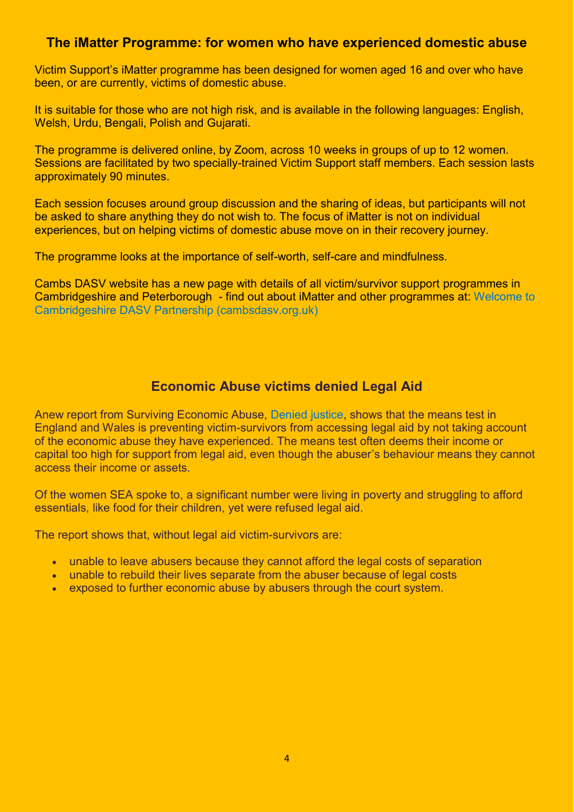### **The iMatter Programme: for women who have experienced domestic abuse**

Victim Support's iMatter programme has been designed for women aged 16 and over who have been, or are currently, victims of domestic abuse.

It is suitable for those who are not high risk, and is available in the following languages: English, Welsh, Urdu, Bengali, Polish and Gujarati.

The programme is delivered online, by Zoom, across 10 weeks in groups of up to 12 women. Sessions are facilitated by two specially-trained Victim Support staff members. Each session lasts approximately 90 minutes.

Each session focuses around group discussion and the sharing of ideas, but participants will not be asked to share anything they do not wish to. The focus of iMatter is not on individual experiences, but on helping victims of domestic abuse move on in their recovery journey.

The programme looks at the importance of self-worth, self-care and mindfulness.

Cambs DASV website has a new page with details of all victim/survivor support programmes in Cambridgeshire and Peterborough - find out about iMatter and other programmes at: [Welcome to](https://www.cambsdasv.org.uk/website/survivor_support_programmes/577113)  [Cambridgeshire DASV Partnership \(cambsdasv.org.uk\)](https://www.cambsdasv.org.uk/website/survivor_support_programmes/577113) 

## **Economic Abuse victims denied Legal Aid**

Anew report from Surviving Economic Abuse, [Denied justice,](https://survivingeconomicabuse.org/wp-content/uploads/2021/10/Denied-justice-October-2021.pdf) shows that the means test in England and Wales is preventing victim-survivors from accessing legal aid by not taking account of the economic abuse they have experienced. The means test often deems their income or capital too high for support from legal aid, even though the abuser's behaviour means they cannot access their income or assets.

Of the women SEA spoke to, a significant number were living in poverty and struggling to afford essentials, like food for their children, yet were refused legal aid.

The report shows that, without legal aid victim-survivors are:

- unable to leave abusers because they cannot afford the legal costs of separation
- unable to rebuild their lives separate from the abuser because of legal costs
- exposed to further economic abuse by abusers through the court system.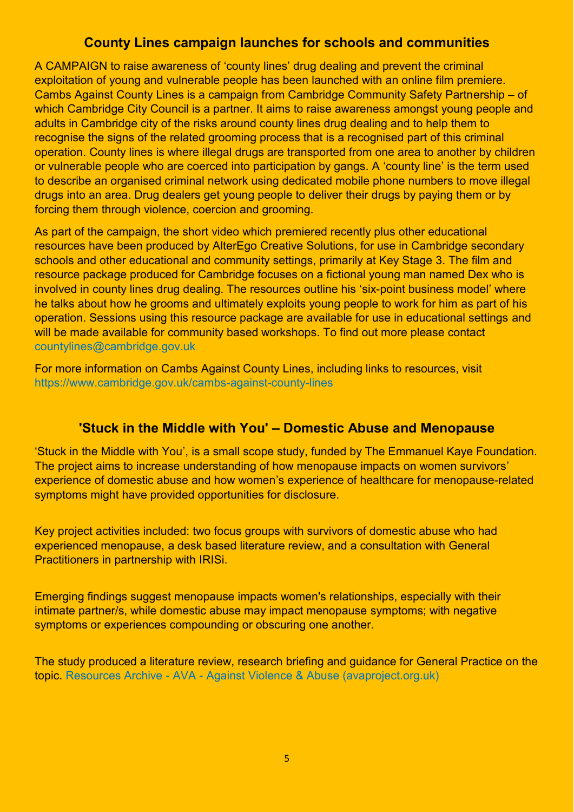## **County Lines campaign launches for schools and communities**

A CAMPAIGN to raise awareness of 'county lines' drug dealing and prevent the criminal exploitation of young and vulnerable people has been launched with an online film premiere. Cambs Against County Lines is a campaign from Cambridge Community Safety Partnership – of which Cambridge City Council is a partner. It aims to raise awareness amongst young people and adults in Cambridge city of the risks around county lines drug dealing and to help them to recognise the signs of the related grooming process that is a recognised part of this criminal operation. County lines is where illegal drugs are transported from one area to another by children or vulnerable people who are coerced into participation by gangs. A 'county line' is the term used to describe an organised criminal network using dedicated mobile phone numbers to move illegal drugs into an area. Drug dealers get young people to deliver their drugs by paying them or by forcing them through violence, coercion and grooming.

As part of the campaign, the short video which premiered recently plus other educational resources have been produced by AlterEgo Creative Solutions, for use in Cambridge secondary schools and other educational and community settings, primarily at Key Stage 3. The film and resource package produced for Cambridge focuses on a fictional young man named Dex who is involved in county lines drug dealing. The resources outline his 'six-point business model' where he talks about how he grooms and ultimately exploits young people to work for him as part of his operation. Sessions using this resource package are available for use in educational settings and will be made available for community based workshops. To find out more please contact [countylines@cambridge.gov.uk](mailto:countylines@cambridge.gov.uk) 

For more information on Cambs Against County Lines, including links to resources, visit <https://www.cambridge.gov.uk/cambs-against-county-lines>

### **'Stuck in the Middle with You' – Domestic Abuse and Menopause**

'Stuck in the Middle with You', is a small scope study, funded by The Emmanuel Kaye Foundation. The project aims to increase understanding of how menopause impacts on women survivors' experience of domestic abuse and how women's experience of healthcare for menopause-related symptoms might have provided opportunities for disclosure.

Key project activities included: two focus groups with survivors of domestic abuse who had experienced menopause, a desk based literature review, and a consultation with General Practitioners in partnership with IRISi.

Emerging findings suggest menopause impacts women's relationships, especially with their intimate partner/s, while domestic abuse may impact menopause symptoms; with negative symptoms or experiences compounding or obscuring one another.

The study produced a literature review, research briefing and guidance for General Practice on the topic. [Resources Archive - AVA - Against Violence & Abuse \(avaproject.org.uk\)](https://avaproject.org.uk/resources/)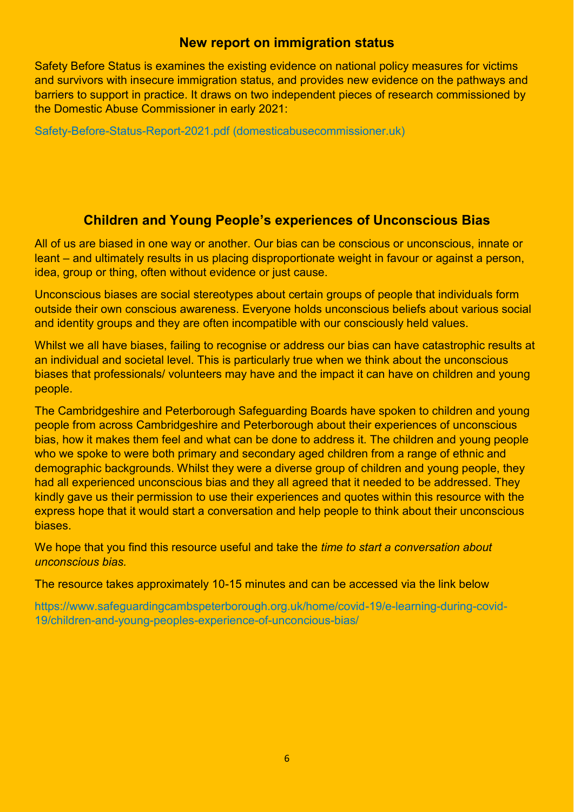### **New report on immigration status**

Safety Before Status is examines the existing evidence on national policy measures for victims and survivors with insecure immigration status, and provides new evidence on the pathways and barriers to support in practice. It draws on two independent pieces of research commissioned by the Domestic Abuse Commissioner in early 2021:

[Safety-Before-Status-Report-2021.pdf \(domesticabusecommissioner.uk\)](https://domesticabusecommissioner.uk/wp-content/uploads/2021/10/Safety-Before-Status-Report-2021.pdf)

## **Children and Young People's experiences of Unconscious Bias**

All of us are biased in one way or another. Our bias can be conscious or unconscious, innate or leant – and ultimately results in us placing disproportionate weight in favour or against a person, idea, group or thing, often without evidence or just cause.

Unconscious biases are social stereotypes about certain groups of people that individuals form outside their own conscious awareness. Everyone holds unconscious beliefs about various social and identity groups and they are often incompatible with our consciously held values.

Whilst we all have biases, failing to recognise or address our bias can have catastrophic results at an individual and societal level. This is particularly true when we think about the unconscious biases that professionals/ volunteers may have and the impact it can have on children and young people.

The Cambridgeshire and Peterborough Safeguarding Boards have spoken to children and young people from across Cambridgeshire and Peterborough about their experiences of unconscious bias, how it makes them feel and what can be done to address it. The children and young people who we spoke to were both primary and secondary aged children from a range of ethnic and demographic backgrounds. Whilst they were a diverse group of children and young people, they had all experienced unconscious bias and they all agreed that it needed to be addressed. They kindly gave us their permission to use their experiences and quotes within this resource with the express hope that it would start a conversation and help people to think about their unconscious **biases** 

We hope that you find this resource useful and take the *time to start a conversation about unconscious bias.* 

The resource takes approximately 10-15 minutes and can be accessed via the link below

[https://www.safeguardingcambspeterborough.org.uk/home/covid-19/e-learning-during-covid-](https://www.safeguardingcambspeterborough.org.uk/home/covid-19/e-learning-during-covid-19/children-and-young-peoples-experience-of-unconcious-bias/)[19/children-and-young-peoples-experience-of-unconcious-bias/](https://www.safeguardingcambspeterborough.org.uk/home/covid-19/e-learning-during-covid-19/children-and-young-peoples-experience-of-unconcious-bias/)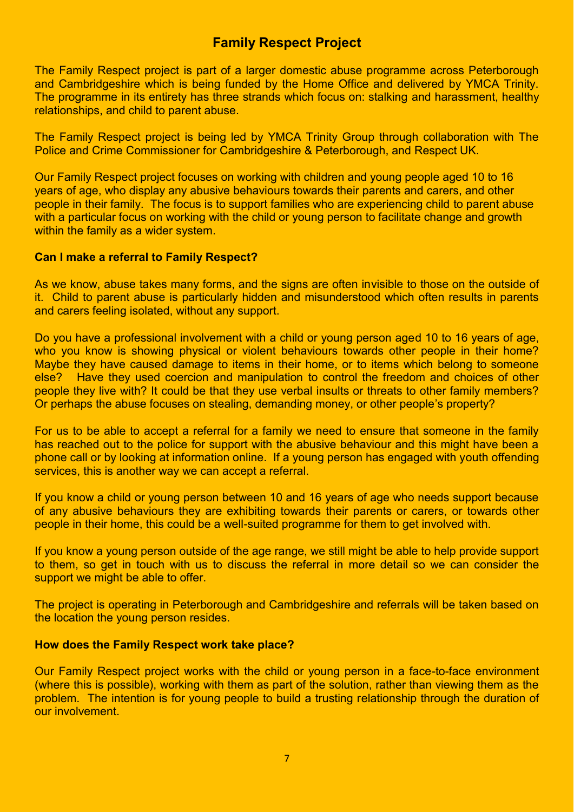# **Family Respect Project**

The Family Respect project is part of a larger domestic abuse programme across Peterborough and Cambridgeshire which is being funded by the Home Office and delivered by YMCA Trinity. The programme in its entirety has three strands which focus on: stalking and harassment, healthy relationships, and child to parent abuse.

The Family Respect project is being led by YMCA Trinity Group through collaboration with The Police and Crime Commissioner for Cambridgeshire & Peterborough, and Respect UK.

Our Family Respect project focuses on working with children and young people aged 10 to 16 years of age, who display any abusive behaviours towards their parents and carers, and other people in their family. The focus is to support families who are experiencing child to parent abuse with a particular focus on working with the child or young person to facilitate change and growth within the family as a wider system.

#### **Can I make a referral to Family Respect?**

As we know, abuse takes many forms, and the signs are often invisible to those on the outside of it. Child to parent abuse is particularly hidden and misunderstood which often results in parents and carers feeling isolated, without any support.

Do you have a professional involvement with a child or young person aged 10 to 16 years of age. who you know is showing physical or violent behaviours towards other people in their home? Maybe they have caused damage to items in their home, or to items which belong to someone else? Have they used coercion and manipulation to control the freedom and choices of other people they live with? It could be that they use verbal insults or threats to other family members? Or perhaps the abuse focuses on stealing, demanding money, or other people's property?

For us to be able to accept a referral for a family we need to ensure that someone in the family has reached out to the police for support with the abusive behaviour and this might have been a phone call or by looking at information online. If a young person has engaged with youth offending services, this is another way we can accept a referral.

If you know a child or young person between 10 and 16 years of age who needs support because of any abusive behaviours they are exhibiting towards their parents or carers, or towards other people in their home, this could be a well-suited programme for them to get involved with.

If you know a young person outside of the age range, we still might be able to help provide support to them, so get in touch with us to discuss the referral in more detail so we can consider the support we might be able to offer.

The project is operating in Peterborough and Cambridgeshire and referrals will be taken based on the location the young person resides.

#### **How does the Family Respect work take place?**

Our Family Respect project works with the child or young person in a face-to-face environment (where this is possible), working with them as part of the solution, rather than viewing them as the problem. The intention is for young people to build a trusting relationship through the duration of our involvement.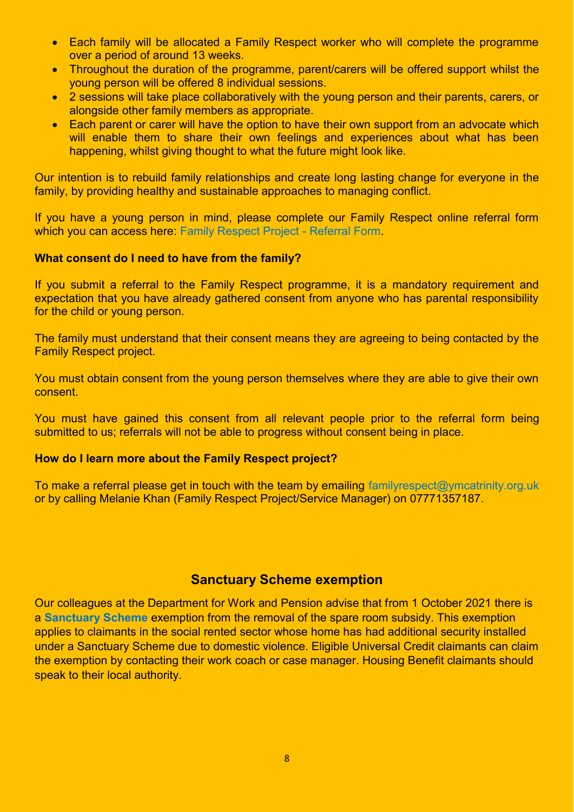- Each family will be allocated a Family Respect worker who will complete the programme over a period of around 13 weeks.
- Throughout the duration of the programme, parent/carers will be offered support whilst the young person will be offered 8 individual sessions.
- 2 sessions will take place collaboratively with the young person and their parents, carers, or alongside other family members as appropriate.
- Each parent or carer will have the option to have their own support from an advocate which will enable them to share their own feelings and experiences about what has been happening, whilst giving thought to what the future might look like.

Our intention is to rebuild family relationships and create long lasting change for everyone in the family, by providing healthy and sustainable approaches to managing conflict.

If you have a young person in mind, please complete our Family Respect online referral form which you can access here: [Family Respect Project - Referral Form.](https://eur01.safelinks.protection.outlook.com/?url=https%3A%2F%2Fform.jotform.com%2F212653507802048&data=04%7C01%7CMelanie.khan%40ymcatrinity.org.uk%7Caf915156ad654e3dbaf308d9949e0e57%7Cff4fe71bb86e4ea2883d9bc4f66eb037%7C0%7C0%7C637704228833374303%7CUnknown%7CTWFpbGZsb3d8eyJWIjoiMC4wLjAwMDAiLCJQIjoiV2luMzIiLCJBTiI6Ik1haWwiLCJXVCI6Mn0%3D%7C1000&sdata=xkiJxz5Jrl%2FiYdRDPoA9zKo%2BkO09T17yTPCB28ApJJI%3D&reserved=0)

#### **What consent do I need to have from the family?**

If you submit a referral to the Family Respect programme, it is a mandatory requirement and expectation that you have already gathered consent from anyone who has parental responsibility for the child or young person.

The family must understand that their consent means they are agreeing to being contacted by the Family Respect project.

You must obtain consent from the young person themselves where they are able to give their own consent.

You must have gained this consent from all relevant people prior to the referral form being submitted to us; referrals will not be able to progress without consent being in place.

#### **How do I learn more about the Family Respect project?**

To make a referral please get in touch with the team by emailing [familyrespect@ymcatrinity.org.uk](mailto:familyrespect@ymcatrinity.org.uk) or by calling Melanie Khan (Family Respect Project/Service Manager) on 07771357187.

### **Sanctuary Scheme exemption**

Our colleagues at the Department for Work and Pension advise that from 1 October 2021 there is a **[Sanctuary Scheme](https://www.dahalliance.org.uk/media/10661/15_-wha-sanctuary-scheme.pdf)** exemption from the removal of the spare room subsidy. This exemption applies to claimants in the social rented sector whose home has had additional security installed under a Sanctuary Scheme due to domestic violence. Eligible Universal Credit claimants can claim the exemption by contacting their work coach or case manager. Housing Benefit claimants should speak to their local authority.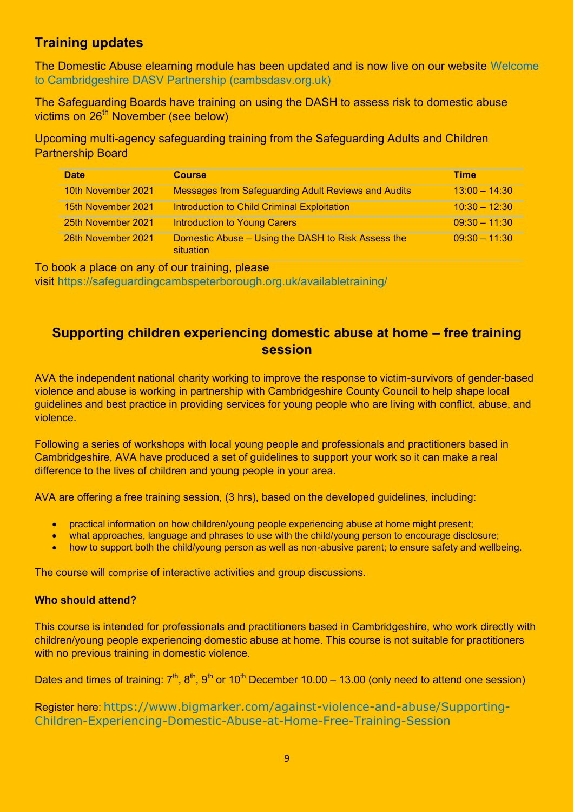# **Training updates**

The Domestic Abuse elearning module has been updated and is now live on our website [Welcome](https://www.cambsdasv.org.uk/website/elearning_modules/92616)  [to Cambridgeshire DASV Partnership \(cambsdasv.org.uk\)](https://www.cambsdasv.org.uk/website/elearning_modules/92616) 

The Safeguarding Boards have training on using the DASH to assess risk to domestic abuse victims on 26<sup>th</sup> November (see below)

Upcoming multi-agency safeguarding training from the Safeguarding Adults and Children Partnership Board

| <b>Date</b>        | <b>Course</b>                                                   | <b>Time</b>     |
|--------------------|-----------------------------------------------------------------|-----------------|
| 10th November 2021 | <b>Messages from Safeguarding Adult Reviews and Audits</b>      | $13:00 - 14:30$ |
| 15th November 2021 | Introduction to Child Criminal Exploitation                     | $10:30 - 12:30$ |
| 25th November 2021 | <b>Introduction to Young Carers</b>                             | $09:30 - 11:30$ |
| 26th November 2021 | Domestic Abuse – Using the DASH to Risk Assess the<br>situation | $09:30 - 11:30$ |

To book a place on any of our training, please

visit<https://safeguardingcambspeterborough.org.uk/availabletraining/>

## **Supporting children experiencing domestic abuse at home – free training session**

AVA the independent national charity working to improve the response to victim-survivors of gender-based violence and abuse is working in partnership with Cambridgeshire County Council to help shape local guidelines and best practice in providing services for young people who are living with conflict, abuse, and violence.

Following a series of workshops with local young people and professionals and practitioners based in Cambridgeshire, AVA have produced a set of guidelines to support your work so it can make a real difference to the lives of children and young people in your area.

AVA are offering a free training session, (3 hrs), based on the developed guidelines, including:

- practical information on how children/young people experiencing abuse at home might present;
- what approaches, language and phrases to use with the child/young person to encourage disclosure;
- how to support both the child/young person as well as non-abusive parent; to ensure safety and wellbeing.

The course will comprise of interactive activities and group discussions.

#### **Who should attend?**

This course is intended for professionals and practitioners based in Cambridgeshire, who work directly with children/young people experiencing domestic abuse at home. This course is not suitable for practitioners with no previous training in domestic violence.

Dates and times of training:  $7<sup>th</sup>$ ,  $8<sup>th</sup>$ ,  $9<sup>th</sup>$  or 10<sup>th</sup> December 10.00 – 13.00 (only need to attend one session)

Register here: [https://www.bigmarker.com/against-violence-and-abuse/Supporting-](https://www.bigmarker.com/against-violence-and-abuse/Supporting-Children-Experiencing-Domestic-Abuse-at-Home-Free-Training-Session)[Children-Experiencing-Domestic-Abuse-at-Home-Free-Training-Session](https://www.bigmarker.com/against-violence-and-abuse/Supporting-Children-Experiencing-Domestic-Abuse-at-Home-Free-Training-Session)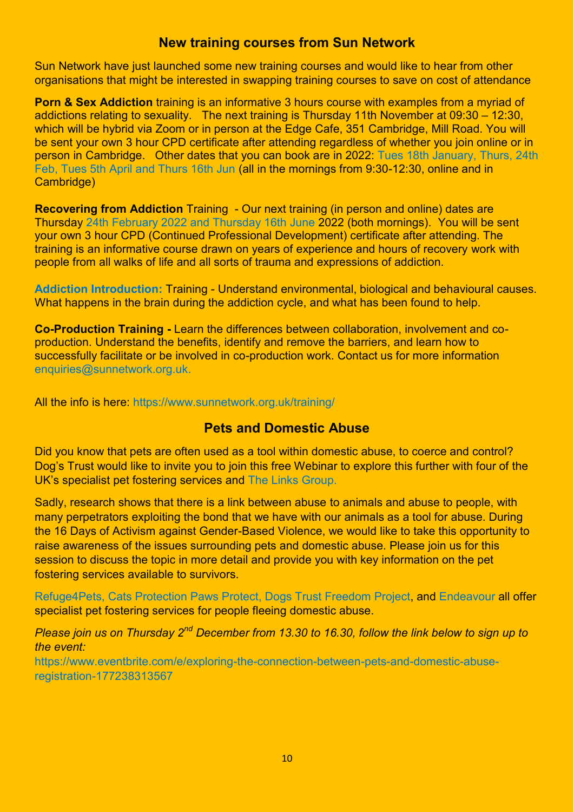### **New training courses from Sun Network**

Sun Network have just launched some new training courses and would like to hear from other organisations that might be interested in swapping training courses to save on cost of attendance

**Porn & Sex Addiction** training is an informative 3 hours course with examples from a myriad of addictions relating to sexuality. The next training is Thursday 11th November at 09:30 – 12:30, which will be hybrid via Zoom or in person at the Edge Cafe, 351 Cambridge, Mill Road. You will be sent your own 3 hour CPD certificate after attending regardless of whether you join online or in person in Cambridge. Other dates that you can book are in 2022: [Tues 18th January, Thurs, 24th](https://porn-sex-addiction-2022-jan-jun.eventbrite.co.uk/)  [Feb, Tues 5th April and Thurs 16th Jun](https://porn-sex-addiction-2022-jan-jun.eventbrite.co.uk/) (all in the mornings from 9:30-12:30, online and in Cambridge)

**Recovering from Addiction** Training - Our next training (in person and online) dates are Thursday [24th February 2022 and Thursday 16th June](https://recoveryingfromaddictiontngonlinecam2022-febjun.eventbrite.co.uk/) 2022 (both mornings). You will be sent your own 3 hour CPD (Continued Professional Development) certificate after attending. The training is an informative course drawn on years of experience and hours of recovery work with people from all walks of life and all sorts of trauma and expressions of addiction.

**[Addiction Introduction:](https://www.sunnetwork.org.uk/training/introduction-to-addiction/)** Training - Understand environmental, biological and behavioural causes. What happens in the brain during the addiction cycle, and what has been found to help.

**Co-Production Training -** Learn the differences between collaboration, involvement and coproduction. Understand the benefits, identify and remove the barriers, and learn how to successfully facilitate or be involved in co-production work. Contact us for more informatio[n](mailto:enquiries@sunnetwork.org.uk) [enquiries@sunnetwork.org.uk.](mailto:enquiries@sunnetwork.org.uk)

All the info is here:<https://www.sunnetwork.org.uk/training/>

# **Pets and Domestic Abuse**

Did you know that pets are often used as a tool within domestic abuse, to coerce and control? Dog's Trust would like to invite you to join this free Webinar to explore this further with four of the UK's specialist pet fostering services and [The Links Group.](https://thelinksgroup.org.uk/) 

Sadly, research shows that there is a link between abuse to animals and abuse to people, with many perpetrators exploiting the bond that we have with our animals as a tool for abuse. During the 16 Days of Activism against Gender-Based Violence, we would like to take this opportunity to raise awareness of the issues surrounding pets and domestic abuse. Please join us for this session to discuss the topic in more detail and provide you with key information on the pet fostering services available to survivors.

[Refuge4Pets,](https://refuge4pets.org.uk/) [Cats Protection Paws Protect,](https://www.cats.org.uk/what-we-do/paws-protect) [Dogs Trust Freedom Project,](https://www.moretodogstrust.org.uk/freedom-project/freedom-project) and [Endeavour](https://www.endeavourproject.org.uk/) all offer specialist pet fostering services for people fleeing domestic abuse.

*Please join us on Thursday 2nd December from 13.30 to 16.30, follow the link below to sign up to the event:*

[https://www.eventbrite.com/e/exploring-the-connection-between-pets-and-domestic-abuse](https://www.eventbrite.com/e/exploring-the-connection-between-pets-and-domestic-abuse-registration-177238313567)[registration-177238313567](https://www.eventbrite.com/e/exploring-the-connection-between-pets-and-domestic-abuse-registration-177238313567)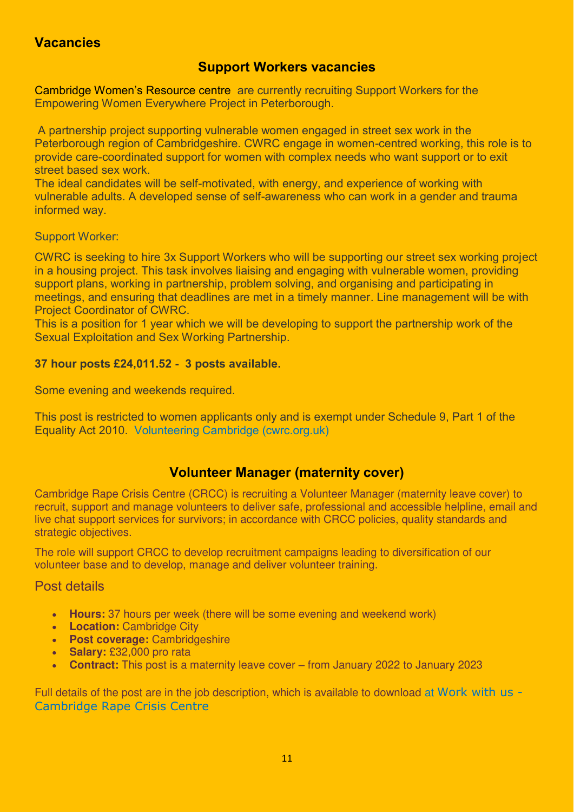# **Vacancies**

## **Support Workers vacancies**

Cambridge Women's Resource centre are currently recruiting Support Workers for the Empowering Women Everywhere Project in Peterborough.

 A partnership project supporting vulnerable women engaged in street sex work in the Peterborough region of Cambridgeshire. CWRC engage in women-centred working, this role is to provide care-coordinated support for women with complex needs who want support or to exit street based sex work.

The ideal candidates will be self-motivated, with energy, and experience of working with vulnerable adults. A developed sense of self-awareness who can work in a gender and trauma informed way.

Support Worker:

CWRC is seeking to hire 3x Support Workers who will be supporting our street sex working project in a housing project. This task involves liaising and engaging with vulnerable women, providing support plans, working in partnership, problem solving, and organising and participating in meetings, and ensuring that deadlines are met in a timely manner. Line management will be with Project Coordinator of CWRC.

This is a position for 1 year which we will be developing to support the partnership work of the Sexual Exploitation and Sex Working Partnership.

### **37 hour posts £24,011.52 - 3 posts available.**

Some evening and weekends required.

This post is restricted to women applicants only and is exempt under Schedule 9, Part 1 of the Equality Act 2010. [Volunteering Cambridge \(cwrc.org.uk\)](https://www.cwrc.org.uk/volunteeringjobs.php) 

# **Volunteer Manager (maternity cover)**

Cambridge Rape Crisis Centre (CRCC) is recruiting a Volunteer Manager (maternity leave cover) to recruit, support and manage volunteers to deliver safe, professional and accessible helpline, email and live chat support services for survivors; in accordance with CRCC policies, quality standards and strategic objectives.

The role will support CRCC to develop recruitment campaigns leading to diversification of our volunteer base and to develop, manage and deliver volunteer training.

Post details

- **Hours:** 37 hours per week (there will be some evening and weekend work)
- **Location:** Cambridge City
- **Post coverage:** Cambridgeshire
- **Salary:** £32,000 pro rata
- **Contract:** This post is a maternity leave cover from January 2022 to January 2023

Full details of the post are in the job description, which is available to download at [Work with us -](https://cambridgerapecrisis.org.uk/recruitment)  [Cambridge Rape Crisis Centre](https://cambridgerapecrisis.org.uk/recruitment)